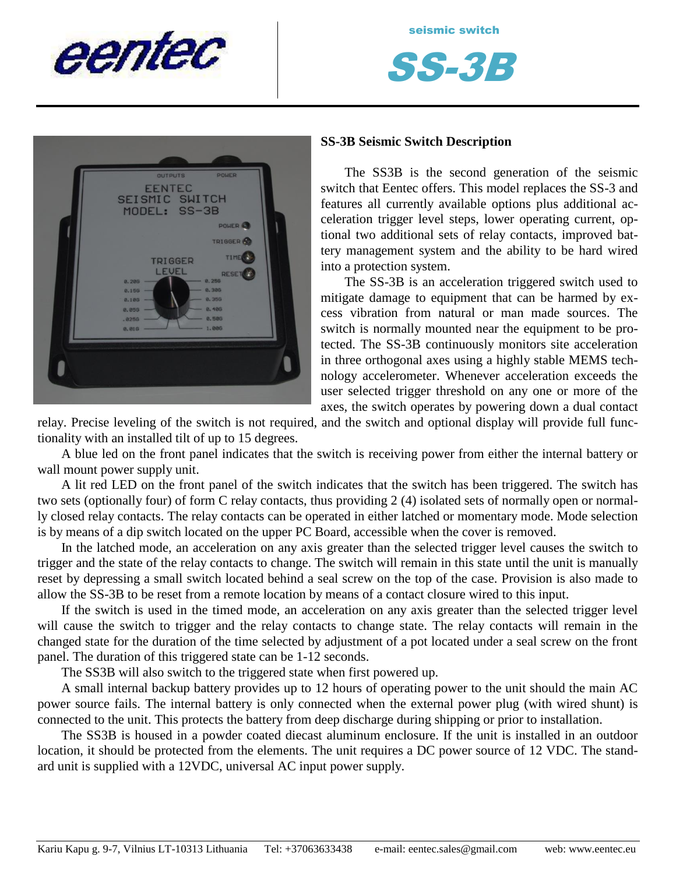



### **SS-3B Seismic Switch Description**

The SS3B is the second generation of the seismic switch that Eentec offers. This model replaces the SS-3 and features all currently available options plus additional acceleration trigger level steps, lower operating current, optional two additional sets of relay contacts, improved battery management system and the ability to be hard wired into a protection system.

The SS-3B is an acceleration triggered switch used to mitigate damage to equipment that can be harmed by excess vibration from natural or man made sources. The switch is normally mounted near the equipment to be protected. The SS-3B continuously monitors site acceleration in three orthogonal axes using a highly stable MEMS technology accelerometer. Whenever acceleration exceeds the user selected trigger threshold on any one or more of the axes, the switch operates by powering down a dual contact

relay. Precise leveling of the switch is not required, and the switch and optional display will provide full functionality with an installed tilt of up to 15 degrees.

A blue led on the front panel indicates that the switch is receiving power from either the internal battery or wall mount power supply unit.

A lit red LED on the front panel of the switch indicates that the switch has been triggered. The switch has two sets (optionally four) of form C relay contacts, thus providing 2 (4) isolated sets of normally open or normally closed relay contacts. The relay contacts can be operated in either latched or momentary mode. Mode selection is by means of a dip switch located on the upper PC Board, accessible when the cover is removed.

In the latched mode, an acceleration on any axis greater than the selected trigger level causes the switch to trigger and the state of the relay contacts to change. The switch will remain in this state until the unit is manually reset by depressing a small switch located behind a seal screw on the top of the case. Provision is also made to allow the SS-3B to be reset from a remote location by means of a contact closure wired to this input.

If the switch is used in the timed mode, an acceleration on any axis greater than the selected trigger level will cause the switch to trigger and the relay contacts to change state. The relay contacts will remain in the changed state for the duration of the time selected by adjustment of a pot located under a seal screw on the front panel. The duration of this triggered state can be 1-12 seconds.

The SS3B will also switch to the triggered state when first powered up.

A small internal backup battery provides up to 12 hours of operating power to the unit should the main AC power source fails. The internal battery is only connected when the external power plug (with wired shunt) is connected to the unit. This protects the battery from deep discharge during shipping or prior to installation.

The SS3B is housed in a powder coated diecast aluminum enclosure. If the unit is installed in an outdoor location, it should be protected from the elements. The unit requires a DC power source of 12 VDC. The standard unit is supplied with a 12VDC, universal AC input power supply.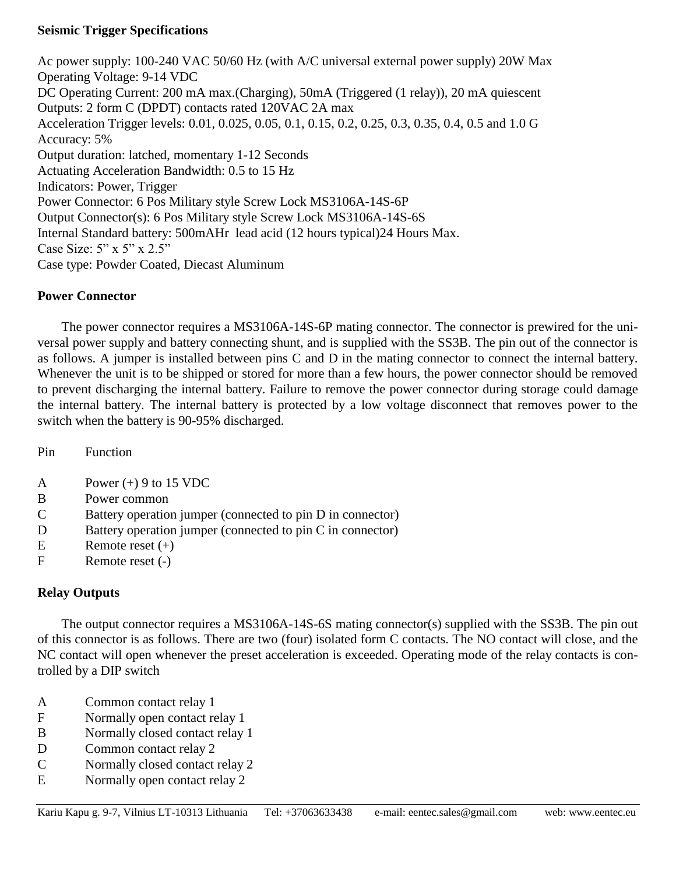### **Seismic Trigger Specifications**

Ac power supply: 100-240 VAC 50/60 Hz (with A/C universal external power supply) 20W Max Operating Voltage: 9-14 VDC DC Operating Current: 200 mA max.(Charging), 50mA (Triggered (1 relay)), 20 mA quiescent Outputs: 2 form C (DPDT) contacts rated 120VAC 2A max Acceleration Trigger levels: 0.01, 0.025, 0.05, 0.1, 0.15, 0.2, 0.25, 0.3, 0.35, 0.4, 0.5 and 1.0 G Accuracy: 5% Output duration: latched, momentary 1-12 Seconds Actuating Acceleration Bandwidth: 0.5 to 15 Hz Indicators: Power, Trigger Power Connector: 6 Pos Military style Screw Lock MS3106A-14S-6P Output Connector(s): 6 Pos Military style Screw Lock MS3106A-14S-6S Internal Standard battery: 500mAHr lead acid (12 hours typical)24 Hours Max. Case Size: 5" x 5" x 2.5" Case type: Powder Coated, Diecast Aluminum

# **Power Connector**

The power connector requires a MS3106A-14S-6P mating connector. The connector is prewired for the universal power supply and battery connecting shunt, and is supplied with the SS3B. The pin out of the connector is as follows. A jumper is installed between pins C and D in the mating connector to connect the internal battery. Whenever the unit is to be shipped or stored for more than a few hours, the power connector should be removed to prevent discharging the internal battery. Failure to remove the power connector during storage could damage the internal battery. The internal battery is protected by a low voltage disconnect that removes power to the switch when the battery is 90-95% discharged.

Pin Function

- A Power  $(+)$  9 to 15 VDC
- B Power common
- C Battery operation jumper (connected to pin D in connector)
- D Battery operation jumper (connected to pin C in connector)
- E Remote reset  $(+)$
- F Remote reset (-)

# **Relay Outputs**

The output connector requires a MS3106A-14S-6S mating connector(s) supplied with the SS3B. The pin out of this connector is as follows. There are two (four) isolated form C contacts. The NO contact will close, and the NC contact will open whenever the preset acceleration is exceeded. Operating mode of the relay contacts is controlled by a DIP switch

- A Common contact relay 1
- F Normally open contact relay 1
- B Normally closed contact relay 1
- D Common contact relay 2
- C Normally closed contact relay 2
- E Normally open contact relay 2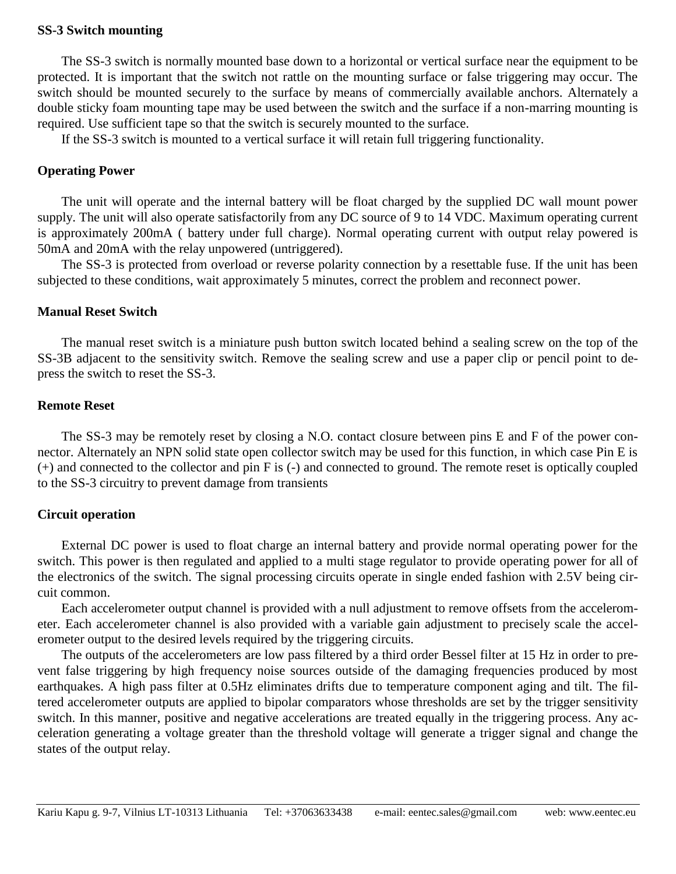### **SS-3 Switch mounting**

The SS-3 switch is normally mounted base down to a horizontal or vertical surface near the equipment to be protected. It is important that the switch not rattle on the mounting surface or false triggering may occur. The switch should be mounted securely to the surface by means of commercially available anchors. Alternately a double sticky foam mounting tape may be used between the switch and the surface if a non-marring mounting is required. Use sufficient tape so that the switch is securely mounted to the surface.

If the SS-3 switch is mounted to a vertical surface it will retain full triggering functionality.

#### **Operating Power**

The unit will operate and the internal battery will be float charged by the supplied DC wall mount power supply. The unit will also operate satisfactorily from any DC source of 9 to 14 VDC. Maximum operating current is approximately 200mA ( battery under full charge). Normal operating current with output relay powered is 50mA and 20mA with the relay unpowered (untriggered).

The SS-3 is protected from overload or reverse polarity connection by a resettable fuse. If the unit has been subjected to these conditions, wait approximately 5 minutes, correct the problem and reconnect power.

#### **Manual Reset Switch**

The manual reset switch is a miniature push button switch located behind a sealing screw on the top of the SS-3B adjacent to the sensitivity switch. Remove the sealing screw and use a paper clip or pencil point to depress the switch to reset the SS-3.

#### **Remote Reset**

The SS-3 may be remotely reset by closing a N.O. contact closure between pins E and F of the power connector. Alternately an NPN solid state open collector switch may be used for this function, in which case Pin E is (+) and connected to the collector and pin F is (-) and connected to ground. The remote reset is optically coupled to the SS-3 circuitry to prevent damage from transients

### **Circuit operation**

External DC power is used to float charge an internal battery and provide normal operating power for the switch. This power is then regulated and applied to a multi stage regulator to provide operating power for all of the electronics of the switch. The signal processing circuits operate in single ended fashion with 2.5V being circuit common.

Each accelerometer output channel is provided with a null adjustment to remove offsets from the accelerometer. Each accelerometer channel is also provided with a variable gain adjustment to precisely scale the accelerometer output to the desired levels required by the triggering circuits.

The outputs of the accelerometers are low pass filtered by a third order Bessel filter at 15 Hz in order to prevent false triggering by high frequency noise sources outside of the damaging frequencies produced by most earthquakes. A high pass filter at 0.5Hz eliminates drifts due to temperature component aging and tilt. The filtered accelerometer outputs are applied to bipolar comparators whose thresholds are set by the trigger sensitivity switch. In this manner, positive and negative accelerations are treated equally in the triggering process. Any acceleration generating a voltage greater than the threshold voltage will generate a trigger signal and change the states of the output relay.